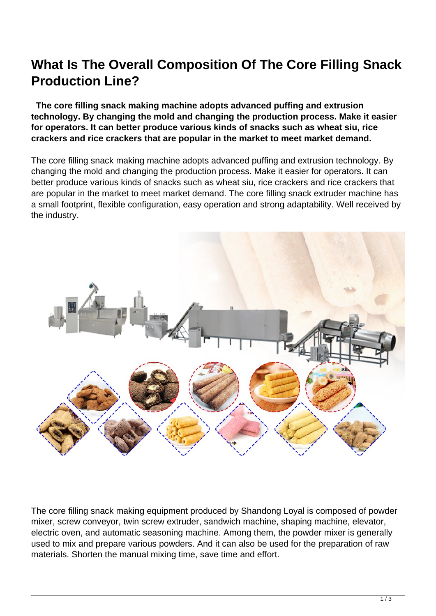## **What Is The Overall Composition Of The Core Filling Snack Production Line?**

 **The core filling snack making machine adopts advanced puffing and extrusion technology. By changing the mold and changing the production process. Make it easier for operators. It can better produce various kinds of snacks such as wheat siu, rice crackers and rice crackers that are popular in the market to meet market demand.**

The core filling snack making machine adopts advanced puffing and extrusion technology. By changing the mold and changing the production process. Make it easier for operators. It can better produce various kinds of snacks such as wheat siu, rice crackers and rice crackers that are popular in the market to meet market demand. The core filling snack extruder machine has a small footprint, flexible configuration, easy operation and strong adaptability. Well received by the industry.



The core filling snack making equipment produced by Shandong Loyal is composed of powder mixer, screw conveyor, twin screw extruder, sandwich machine, shaping machine, elevator, electric oven, and automatic seasoning machine. Among them, the powder mixer is generally used to mix and prepare various powders. And it can also be used for the preparation of raw materials. Shorten the manual mixing time, save time and effort.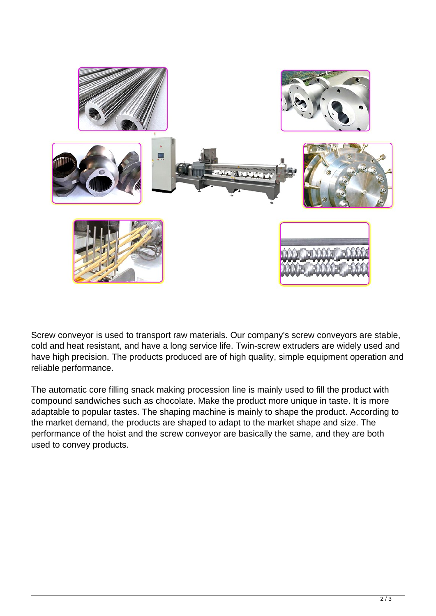

Screw conveyor is used to transport raw materials. Our company's screw conveyors are stable, cold and heat resistant, and have a long service life. Twin-screw extruders are widely used and have high precision. The products produced are of high quality, simple equipment operation and reliable performance.

The automatic core filling snack making procession line is mainly used to fill the product with compound sandwiches such as chocolate. Make the product more unique in taste. It is more adaptable to popular tastes. The shaping machine is mainly to shape the product. According to the market demand, the products are shaped to adapt to the market shape and size. The performance of the hoist and the screw conveyor are basically the same, and they are both used to convey products.